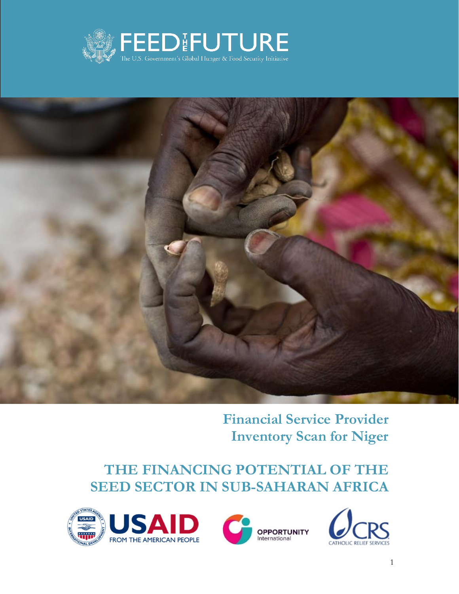



**Financial Service Provider Inventory Scan for Niger**

## **THE FINANCING POTENTIAL OF THE SEED SECTOR IN SUB-SAHARAN AFRICA**





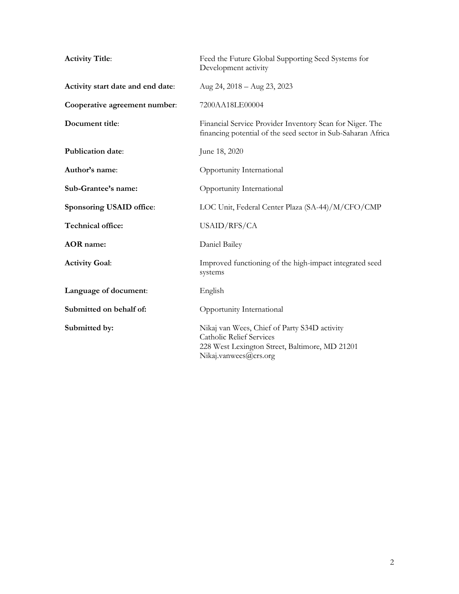| <b>Activity Title:</b>            | Feed the Future Global Supporting Seed Systems for<br>Development activity                                                                          |
|-----------------------------------|-----------------------------------------------------------------------------------------------------------------------------------------------------|
| Activity start date and end date: | Aug 24, 2018 - Aug 23, 2023                                                                                                                         |
| Cooperative agreement number:     | 7200AA18LE00004                                                                                                                                     |
| Document title:                   | Financial Service Provider Inventory Scan for Niger. The<br>financing potential of the seed sector in Sub-Saharan Africa                            |
| <b>Publication date:</b>          | June 18, 2020                                                                                                                                       |
| Author's name:                    | Opportunity International                                                                                                                           |
| Sub-Grantee's name:               | Opportunity International                                                                                                                           |
| Sponsoring USAID office:          | LOC Unit, Federal Center Plaza (SA-44)/M/CFO/CMP                                                                                                    |
| Technical office:                 | USAID/RFS/CA                                                                                                                                        |
| <b>AOR</b> name:                  | Daniel Bailey                                                                                                                                       |
| <b>Activity Goal:</b>             | Improved functioning of the high-impact integrated seed<br>systems                                                                                  |
| Language of document:             | English                                                                                                                                             |
| Submitted on behalf of:           | Opportunity International                                                                                                                           |
| Submitted by:                     | Nikaj van Wees, Chief of Party S34D activity<br>Catholic Relief Services<br>228 West Lexington Street, Baltimore, MD 21201<br>Nikaj.vanwees@crs.org |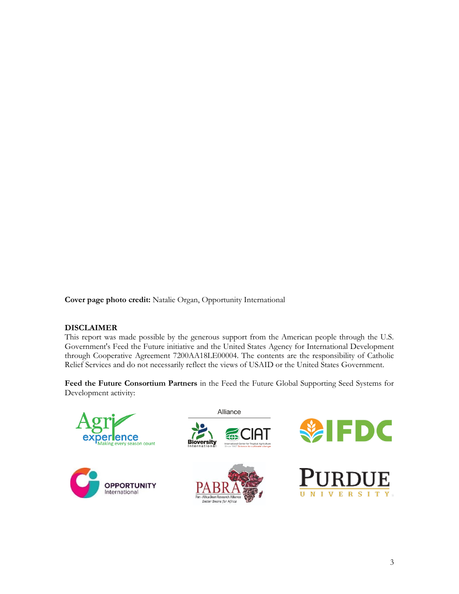**Cover page photo credit:** Natalie Organ, Opportunity International

### **DISCLAIMER**

This report was made possible by the generous support from the American people through the U.S. Government's Feed the Future initiative and the United States Agency for International Development through Cooperative Agreement 7200AA18LE00004. The contents are the responsibility of Catholic Relief Services and do not necessarily reflect the views of USAID or the United States Government.

**Feed the Future Consortium Partners** in the Feed the Future Global Supporting Seed Systems for Development activity:

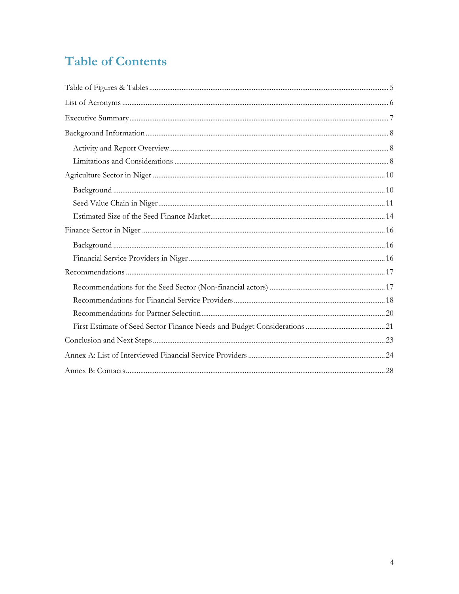## **Table of Contents**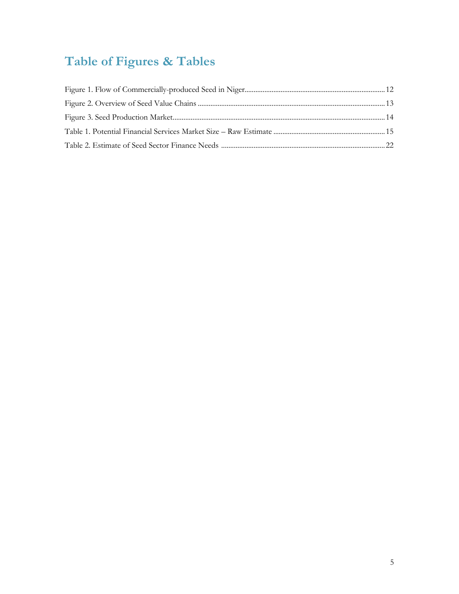# <span id="page-4-0"></span>**Table of Figures & Tables**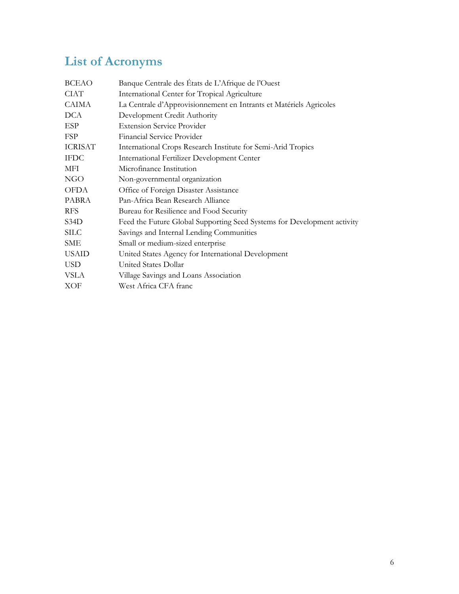# <span id="page-5-0"></span>**List of Acronyms**

| Banque Centrale des États de L'Afrique de l'Ouest                       |  |  |
|-------------------------------------------------------------------------|--|--|
| International Center for Tropical Agriculture                           |  |  |
| La Centrale d'Approvisionnement en Intrants et Matériels Agricoles      |  |  |
| Development Credit Authority                                            |  |  |
| <b>Extension Service Provider</b>                                       |  |  |
| Financial Service Provider                                              |  |  |
| International Crops Research Institute for Semi-Arid Tropics            |  |  |
| International Fertilizer Development Center                             |  |  |
| Microfinance Institution                                                |  |  |
| Non-governmental organization                                           |  |  |
| Office of Foreign Disaster Assistance                                   |  |  |
| Pan-Africa Bean Research Alliance                                       |  |  |
| Bureau for Resilience and Food Security                                 |  |  |
| Feed the Future Global Supporting Seed Systems for Development activity |  |  |
| Savings and Internal Lending Communities                                |  |  |
| Small or medium-sized enterprise                                        |  |  |
| United States Agency for International Development                      |  |  |
| United States Dollar                                                    |  |  |
| Village Savings and Loans Association                                   |  |  |
| West Africa CFA franc                                                   |  |  |
|                                                                         |  |  |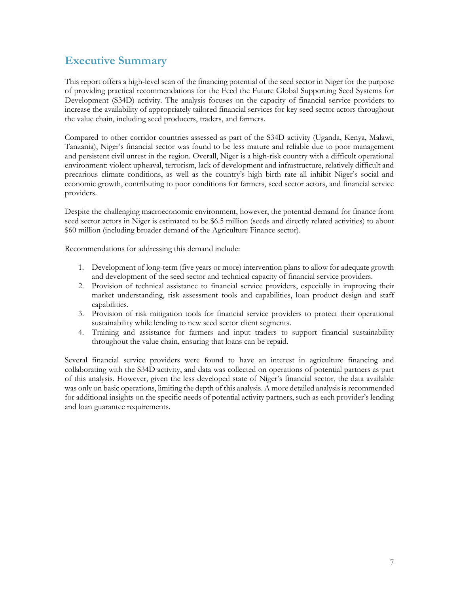### <span id="page-6-0"></span>**Executive Summary**

This report offers a high-level scan of the financing potential of the seed sector in Niger for the purpose of providing practical recommendations for the Feed the Future Global Supporting Seed Systems for Development (S34D) activity. The analysis focuses on the capacity of financial service providers to increase the availability of appropriately tailored financial services for key seed sector actors throughout the value chain, including seed producers, traders, and farmers.

Compared to other corridor countries assessed as part of the S34D activity (Uganda, Kenya, Malawi, Tanzania), Niger's financial sector was found to be less mature and reliable due to poor management and persistent civil unrest in the region. Overall, Niger is a high-risk country with a difficult operational environment: violent upheaval, terrorism, lack of development and infrastructure, relatively difficult and precarious climate conditions, as well as the country's high birth rate all inhibit Niger's social and economic growth, contributing to poor conditions for farmers, seed sector actors, and financial service providers.

Despite the challenging macroeconomic environment, however, the potential demand for finance from seed sector actors in Niger is estimated to be \$6.5 million (seeds and directly related activities) to about \$60 million (including broader demand of the Agriculture Finance sector).

Recommendations for addressing this demand include:

- 1. Development of long-term (five years or more) intervention plans to allow for adequate growth and development of the seed sector and technical capacity of financial service providers.
- 2. Provision of technical assistance to financial service providers, especially in improving their market understanding, risk assessment tools and capabilities, loan product design and staff capabilities.
- 3. Provision of risk mitigation tools for financial service providers to protect their operational sustainability while lending to new seed sector client segments.
- 4. Training and assistance for farmers and input traders to support financial sustainability throughout the value chain, ensuring that loans can be repaid.

Several financial service providers were found to have an interest in agriculture financing and collaborating with the S34D activity, and data was collected on operations of potential partners as part of this analysis. However, given the less developed state of Niger's financial sector, the data available was only on basic operations, limiting the depth of this analysis. A more detailed analysis is recommended for additional insights on the specific needs of potential activity partners, such as each provider's lending and loan guarantee requirements.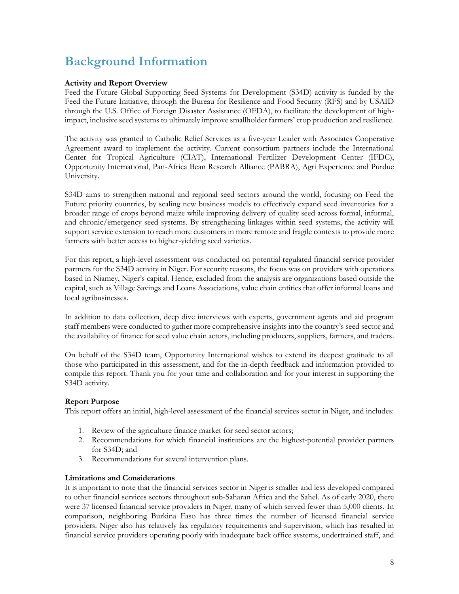### <span id="page-7-0"></span>**Background Information**

### <span id="page-7-1"></span>**Activity and Report Overview**

Feed the Future Global Supporting Seed Systems for Development (S34D) activity is funded by the Feed the Future Initiative, through the Bureau for Resilience and Food Security (RFS) and by USAID through the U.S. Office of Foreign Disaster Assistance (OFDA), to facilitate the development of highimpact, inclusive seed systems to ultimately improve smallholder farmers' crop production and resilience.

The activity was granted to Catholic Relief Services as a five-year Leader with Associates Cooperative Agreement award to implement the activity. Current consortium partners include the International Center for Tropical Agriculture (CIAT), International Fertilizer Development Center (IFDC), Opportunity International, Pan-Africa Bean Research Alliance (PABRA), Agri Experience and Purdue University.

S34D aims to strengthen national and regional seed sectors around the world, focusing on Feed the Future priority countries, by scaling new business models to effectively expand seed inventories for a broader range of crops beyond maize while improving delivery of quality seed across formal, informal, and chronic/emergency seed systems. By strengthening linkages within seed systems, the activity will support service extension to reach more customers in more remote and fragile contexts to provide more farmers with better access to higher-yielding seed varieties.

For this report, a high-level assessment was conducted on potential regulated financial service provider partners for the S34D activity in Niger. For security reasons, the focus was on providers with operations based in Niamey, Niger's capital. Hence, excluded from the analysis are organizations based outside the capital, such as Village Savings and Loans Associations, value chain entities that offer informal loans and local agribusinesses.

In addition to data collection, deep dive interviews with experts, government agents and aid program staff members were conducted to gather more comprehensive insights into the country's seed sector and the availability of finance for seed value chain actors, including producers, suppliers, farmers, and traders.

On behalf of the S34D team, Opportunity International wishes to extend its deepest gratitude to all those who participated in this assessment, and for the in-depth feedback and information provided to compile this report. Thank you for your time and collaboration and for your interest in supporting the S34D activity.

### **Report Purpose**

This report offers an initial, high-level assessment of the financial services sector in Niger, and includes:

- 1. Review of the agriculture finance market for seed sector actors;
- 2. Recommendations for which financial institutions are the highest-potential provider partners for S34D; and
- 3. Recommendations for several intervention plans.

### <span id="page-7-2"></span>**Limitations and Considerations**

It is important to note that the financial services sector in Niger is smaller and less developed compared to other financial services sectors throughout sub-Saharan Africa and the Sahel. As of early 2020, there were 37 licensed financial service providers in Niger, many of which served fewer than 5,000 clients. In comparison, neighboring Burkina Faso has three times the number of licensed financial service providers. Niger also has relatively lax regulatory requirements and supervision, which has resulted in financial service providers operating poorly with inadequate back office systems, undertrained staff, and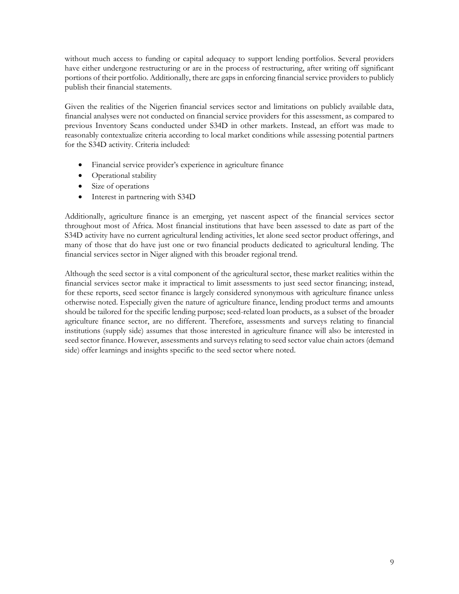without much access to funding or capital adequacy to support lending portfolios. Several providers have either undergone restructuring or are in the process of restructuring, after writing off significant portions of their portfolio. Additionally, there are gaps in enforcing financial service providers to publicly publish their financial statements.

Given the realities of the Nigerien financial services sector and limitations on publicly available data, financial analyses were not conducted on financial service providers for this assessment, as compared to previous Inventory Scans conducted under S34D in other markets. Instead, an effort was made to reasonably contextualize criteria according to local market conditions while assessing potential partners for the S34D activity. Criteria included:

- Financial service provider's experience in agriculture finance
- Operational stability
- Size of operations
- Interest in partnering with S34D

Additionally, agriculture finance is an emerging, yet nascent aspect of the financial services sector throughout most of Africa. Most financial institutions that have been assessed to date as part of the S34D activity have no current agricultural lending activities, let alone seed sector product offerings, and many of those that do have just one or two financial products dedicated to agricultural lending. The financial services sector in Niger aligned with this broader regional trend.

Although the seed sector is a vital component of the agricultural sector, these market realities within the financial services sector make it impractical to limit assessments to just seed sector financing; instead, for these reports, seed sector finance is largely considered synonymous with agriculture finance unless otherwise noted. Especially given the nature of agriculture finance, lending product terms and amounts should be tailored for the specific lending purpose; seed-related loan products, as a subset of the broader agriculture finance sector, are no different. Therefore, assessments and surveys relating to financial institutions (supply side) assumes that those interested in agriculture finance will also be interested in seed sector finance. However, assessments and surveys relating to seed sector value chain actors (demand side) offer learnings and insights specific to the seed sector where noted.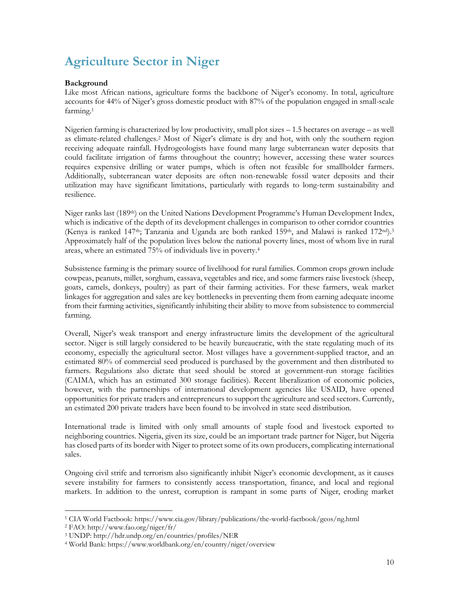## <span id="page-9-0"></span>**Agriculture Sector in Niger**

### <span id="page-9-1"></span>**Background**

Like most African nations, agriculture forms the backbone of Niger's economy. In total, agriculture accounts for 44% of Niger's gross domestic product with 87% of the population engaged in small-scale farming.<sup>1</sup>

Nigerien farming is characterized by low productivity, small plot sizes – 1.5 hectares on average – as well as climate-related challenges.<sup>2</sup> Most of Niger's climate is dry and hot, with only the southern region receiving adequate rainfall. Hydrogeologists have found many large subterranean water deposits that could facilitate irrigation of farms throughout the country; however, accessing these water sources requires expensive drilling or water pumps, which is often not feasible for smallholder farmers. Additionally, subterranean water deposits are often non-renewable fossil water deposits and their utilization may have significant limitations, particularly with regards to long-term sustainability and resilience.

Niger ranks last (189th) on the United Nations Development Programme's Human Development Index, which is indicative of the depth of its development challenges in comparison to other corridor countries (Kenya is ranked 147<sup>th</sup>; Tanzania and Uganda are both ranked 159<sup>th</sup>, and Malawi is ranked 172<sup>nd</sup>).<sup>3</sup> Approximately half of the population lives below the national poverty lines, most of whom live in rural areas, where an estimated 75% of individuals live in poverty.<sup>4</sup>

Subsistence farming is the primary source of livelihood for rural families. Common crops grown include cowpeas, peanuts, millet, sorghum, cassava, vegetables and rice, and some farmers raise livestock (sheep, goats, camels, donkeys, poultry) as part of their farming activities. For these farmers, weak market linkages for aggregation and sales are key bottlenecks in preventing them from earning adequate income from their farming activities, significantly inhibiting their ability to move from subsistence to commercial farming.

Overall, Niger's weak transport and energy infrastructure limits the development of the agricultural sector. Niger is still largely considered to be heavily bureaucratic, with the state regulating much of its economy, especially the agricultural sector. Most villages have a government-supplied tractor, and an estimated 80% of commercial seed produced is purchased by the government and then distributed to farmers. Regulations also dictate that seed should be stored at government-run storage facilities (CAIMA, which has an estimated 300 storage facilities). Recent liberalization of economic policies, however, with the partnerships of international development agencies like USAID, have opened opportunities for private traders and entrepreneurs to support the agriculture and seed sectors. Currently, an estimated 200 private traders have been found to be involved in state seed distribution.

International trade is limited with only small amounts of staple food and livestock exported to neighboring countries. Nigeria, given its size, could be an important trade partner for Niger, but Nigeria has closed parts of its border with Niger to protect some of its own producers, complicating international sales.

Ongoing civil strife and terrorism also significantly inhibit Niger's economic development, as it causes severe instability for farmers to consistently access transportation, finance, and local and regional markets. In addition to the unrest, corruption is rampant in some parts of Niger, eroding market

<sup>1</sup> CIA World Factbook:<https://www.cia.gov/library/publications/the-world-factbook/geos/ng.html>

<sup>2</sup> FAO:<http://www.fao.org/niger/fr/>

<sup>3</sup> UNDP:<http://hdr.undp.org/en/countries/profiles/NER>

<sup>4</sup> World Bank[: https://www.worldbank.org/en/country/niger/overview](https://www.worldbank.org/en/country/niger/overview)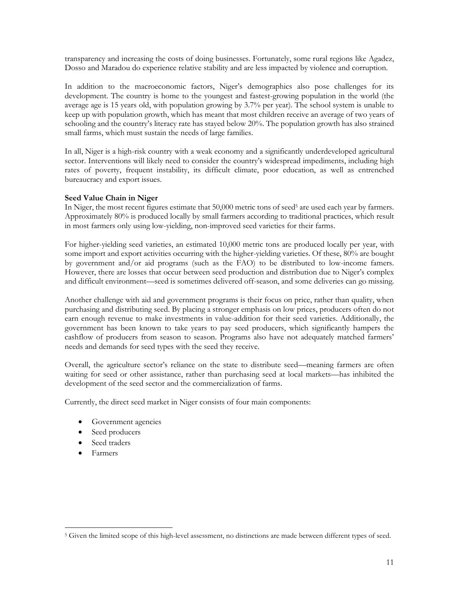transparency and increasing the costs of doing businesses. Fortunately, some rural regions like Agadez, Dosso and Maradou do experience relative stability and are less impacted by violence and corruption.

In addition to the macroeconomic factors, Niger's demographics also pose challenges for its development. The country is home to the youngest and fastest-growing population in the world (the average age is 15 years old, with population growing by 3.7% per year). The school system is unable to keep up with population growth, which has meant that most children receive an average of two years of schooling and the country's literacy rate has stayed below 20%. The population growth has also strained small farms, which must sustain the needs of large families.

In all, Niger is a high-risk country with a weak economy and a significantly underdeveloped agricultural sector. Interventions will likely need to consider the country's widespread impediments, including high rates of poverty, frequent instability, its difficult climate, poor education, as well as entrenched bureaucracy and export issues.

### <span id="page-10-0"></span>**Seed Value Chain in Niger**

In Niger, the most recent figures estimate that 50,000 metric tons of seed<sup>5</sup> are used each year by farmers. Approximately 80% is produced locally by small farmers according to traditional practices, which result in most farmers only using low-yielding, non-improved seed varieties for their farms.

For higher-yielding seed varieties, an estimated 10,000 metric tons are produced locally per year, with some import and export activities occurring with the higher-yielding varieties. Of these, 80% are bought by government and/or aid programs (such as the FAO) to be distributed to low-income famers. However, there are losses that occur between seed production and distribution due to Niger's complex and difficult environment—seed is sometimes delivered off-season, and some deliveries can go missing.

Another challenge with aid and government programs is their focus on price, rather than quality, when purchasing and distributing seed. By placing a stronger emphasis on low prices, producers often do not earn enough revenue to make investments in value-addition for their seed varieties. Additionally, the government has been known to take years to pay seed producers, which significantly hampers the cashflow of producers from season to season. Programs also have not adequately matched farmers' needs and demands for seed types with the seed they receive.

Overall, the agriculture sector's reliance on the state to distribute seed—meaning farmers are often waiting for seed or other assistance, rather than purchasing seed at local markets—has inhibited the development of the seed sector and the commercialization of farms.

Currently, the direct seed market in Niger consists of four main components:

- Government agencies
- Seed producers
- Seed traders
- Farmers

<sup>5</sup> Given the limited scope of this high-level assessment, no distinctions are made between different types of seed.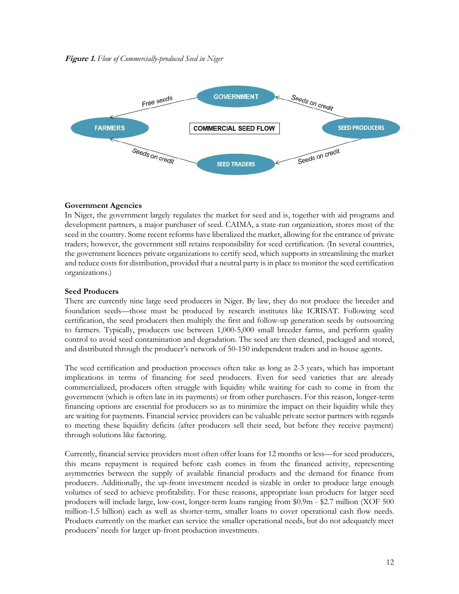<span id="page-11-0"></span>

### **Government Agencies**

In Niger, the government largely regulates the market for seed and is, together with aid programs and development partners, a major purchaser of seed. CAIMA, a state-run organization, stores most of the seed in the country. Some recent reforms have liberalized the market, allowing for the entrance of private traders; however, the government still retains responsibility for seed certification. (In several countries, the government licences private organizations to certify seed, which supports in streamlining the market and reduce costs for distribution, provided that a neutral party is in place to monitor the seed certification organizations.)

### **Seed Producers**

There are currently nine large seed producers in Niger. By law, they do not produce the breeder and foundation seeds—those must be produced by research institutes like ICRISAT. Following seed certification, the seed producers then multiply the first and follow-up generation seeds by outsourcing to farmers. Typically, producers use between 1,000-5,000 small breeder farms, and perform quality control to avoid seed contamination and degradation. The seed are then cleaned, packaged and stored, and distributed through the producer's network of 50-150 independent traders and in-house agents.

The seed certification and production processes often take as long as 2-3 years, which has important implications in terms of financing for seed producers. Even for seed varieties that are already commercialized, producers often struggle with liquidity while waiting for cash to come in from the government (which is often late in its payments) or from other purchasers. For this reason, longer-term financing options are essential for producers so as to minimize the impact on their liquidity while they are waiting for payments. Financial service providers can be valuable private sector partners with regards to meeting these liquidity deficits (after producers sell their seed, but before they receive payment) through solutions like factoring.

Currently, financial service providers most often offer loans for 12 months or less—for seed producers, this means repayment is required before cash comes in from the financed activity, representing asymmetries between the supply of available financial products and the demand for finance from producers. Additionally, the up-front investment needed is sizable in order to produce large enough volumes of seed to achieve profitability. For these reasons, appropriate loan products for larger seed producers will include large, low-cost, longer-term loans ranging from \$0.9m - \$2.7 million (XOF 500 million-1.5 billion) each as well as shorter-term, smaller loans to cover operational cash flow needs. Products currently on the market can service the smaller operational needs, but do not adequately meet producers' needs for larger up-front production investments.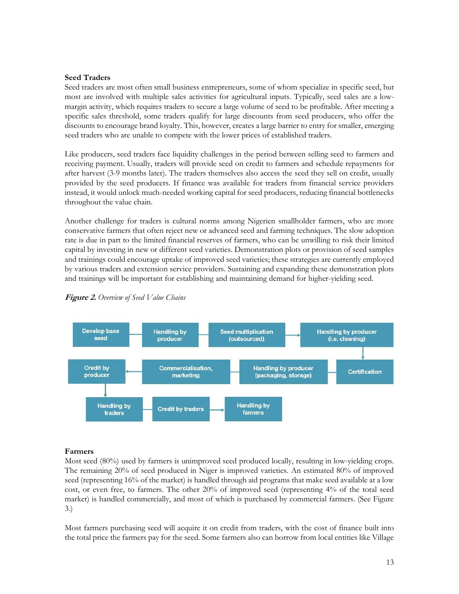### **Seed Traders**

Seed traders are most often small business entrepreneurs, some of whom specialize in specific seed, but most are involved with multiple sales activities for agricultural inputs. Typically, seed sales are a lowmargin activity, which requires traders to secure a large volume of seed to be profitable. After meeting a specific sales threshold, some traders qualify for large discounts from seed producers, who offer the discounts to encourage brand loyalty. This, however, creates a large barrier to entry for smaller, emerging seed traders who are unable to compete with the lower prices of established traders.

Like producers, seed traders face liquidity challenges in the period between selling seed to farmers and receiving payment. Usually, traders will provide seed on credit to farmers and schedule repayments for after harvest (3-9 months later). The traders themselves also access the seed they sell on credit, usually provided by the seed producers. If finance was available for traders from financial service providers instead, it would unlock much-needed working capital for seed producers, reducing financial bottlenecks throughout the value chain.

Another challenge for traders is cultural norms among Nigerien smallholder farmers, who are more conservative farmers that often reject new or advanced seed and farming techniques. The slow adoption rate is due in part to the limited financial reserves of farmers, who can be unwilling to risk their limited capital by investing in new or different seed varieties. Demonstration plots or provision of seed samples and trainings could encourage uptake of improved seed varieties; these strategies are currently employed by various traders and extension service providers. Sustaining and expanding these demonstration plots and trainings will be important for establishing and maintaining demand for higher-yielding seed.



<span id="page-12-0"></span>

### **Farmers**

Most seed (80%) used by farmers is unimproved seed produced locally, resulting in low-yielding crops. The remaining 20% of seed produced in Niger is improved varieties. An estimated 80% of improved seed (representing 16% of the market) is handled through aid programs that make seed available at a low cost, or even free, to farmers. The other 20% of improved seed (representing 4% of the total seed market) is handled commercially, and most of which is purchased by commercial farmers. (See Figure 3.)

Most farmers purchasing seed will acquire it on credit from traders, with the cost of finance built into the total price the farmers pay for the seed. Some farmers also can borrow from local entities like Village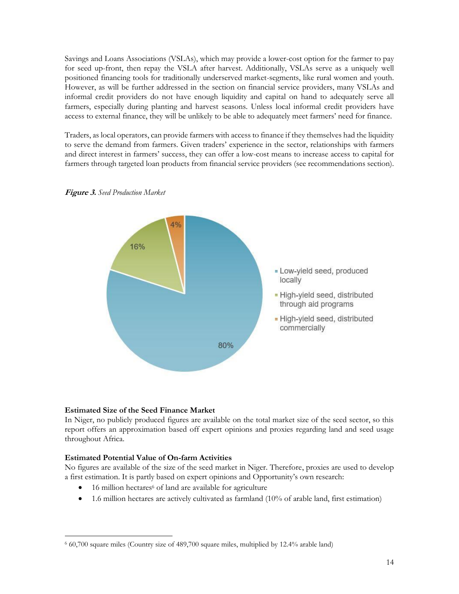Savings and Loans Associations (VSLAs), which may provide a lower-cost option for the farmer to pay for seed up-front, then repay the VSLA after harvest. Additionally, VSLAs serve as a uniquely well positioned financing tools for traditionally underserved market-segments, like rural women and youth. However, as will be further addressed in the section on financial service providers, many VSLAs and informal credit providers do not have enough liquidity and capital on hand to adequately serve all farmers, especially during planting and harvest seasons. Unless local informal credit providers have access to external finance, they will be unlikely to be able to adequately meet farmers' need for finance.

Traders, as local operators, can provide farmers with access to finance if they themselves had the liquidity to serve the demand from farmers. Given traders' experience in the sector, relationships with farmers and direct interest in farmers' success, they can offer a low-cost means to increase access to capital for farmers through targeted loan products from financial service providers (see recommendations section).



<span id="page-13-1"></span>**Figure 3.** *Seed Production Market*

### <span id="page-13-0"></span>**Estimated Size of the Seed Finance Market**

In Niger, no publicly produced figures are available on the total market size of the seed sector, so this report offers an approximation based off expert opinions and proxies regarding land and seed usage throughout Africa.

### **Estimated Potential Value of On-farm Activities**

No figures are available of the size of the seed market in Niger. Therefore, proxies are used to develop a first estimation. It is partly based on expert opinions and Opportunity's own research:

- $\bullet$  16 million hectares<sup>6</sup> of land are available for agriculture
- 1.6 million hectares are actively cultivated as farmland (10% of arable land, first estimation)

<sup>6</sup> 60,700 square miles (Country size of 489,700 square miles, multiplied by 12.4% arable land)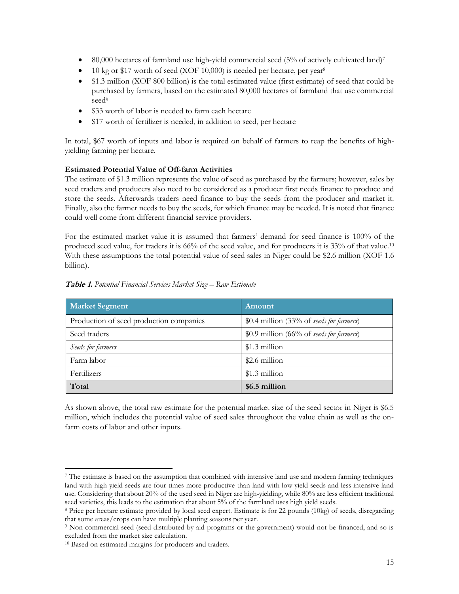- 80,000 hectares of farmland use high-yield commercial seed (5% of actively cultivated land)<sup>7</sup>
- 10 kg or \$17 worth of seed (XOF 10,000) is needed per hectare, per year<sup>8</sup>
- \$1.3 million (XOF 800 billion) is the total estimated value (first estimate) of seed that could be purchased by farmers, based on the estimated 80,000 hectares of farmland that use commercial seed<sup>9</sup>
- \$33 worth of labor is needed to farm each hectare
- \$17 worth of fertilizer is needed, in addition to seed, per hectare

In total, \$67 worth of inputs and labor is required on behalf of farmers to reap the benefits of highyielding farming per hectare.

### **Estimated Potential Value of Off-farm Activities**

The estimate of \$1.3 million represents the value of seed as purchased by the farmers; however, sales by seed traders and producers also need to be considered as a producer first needs finance to produce and store the seeds. Afterwards traders need finance to buy the seeds from the producer and market it. Finally, also the farmer needs to buy the seeds, for which finance may be needed. It is noted that finance could well come from different financial service providers.

For the estimated market value it is assumed that farmers' demand for seed finance is 100% of the produced seed value, for traders it is 66% of the seed value, and for producers it is 33% of that value.<sup>10</sup> With these assumptions the total potential value of seed sales in Niger could be \$2.6 million (XOF 1.6 billion).

| <b>Market Segment</b>                   | Amount                                   |
|-----------------------------------------|------------------------------------------|
| Production of seed production companies | \$0.4 million (33% of seeds for farmers) |
| Seed traders                            | \$0.9 million (66% of seeds for farmers) |
| Seeds for farmers                       | \$1.3 million                            |
| Farm labor                              | \$2.6 million                            |
| Fertilizers                             | \$1.3 million                            |
| Total                                   | \$6.5 million                            |

<span id="page-14-0"></span>**Table 1.** *Potential Financial Services Market Size – Raw Estimate*

As shown above, the total raw estimate for the potential market size of the seed sector in Niger is \$6.5 million, which includes the potential value of seed sales throughout the value chain as well as the onfarm costs of labor and other inputs.

<sup>7</sup> The estimate is based on the assumption that combined with intensive land use and modern farming techniques land with high yield seeds are four times more productive than land with low yield seeds and less intensive land use. Considering that about 20% of the used seed in Niger are high-yielding, while 80% are less efficient traditional seed varieties, this leads to the estimation that about 5% of the farmland uses high yield seeds.

<sup>8</sup> Price per hectare estimate provided by local seed expert. Estimate is for 22 pounds (10kg) of seeds, disregarding that some areas/crops can have multiple planting seasons per year.

<sup>9</sup> Non-commercial seed (seed distributed by aid programs or the government) would not be financed, and so is excluded from the market size calculation.

<sup>10</sup> Based on estimated margins for producers and traders.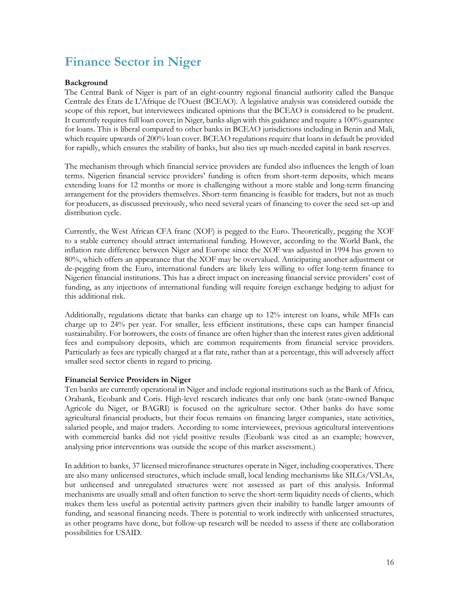## <span id="page-15-0"></span>**Finance Sector in Niger**

### <span id="page-15-1"></span>**Background**

The Central Bank of Niger is part of an eight-country regional financial authority called the Banque Centrale des États de L'Afrique de l'Ouest (BCEAO). A legislative analysis was considered outside the scope of this report, but interviewees indicated opinions that the BCEAO is considered to be prudent. It currently requires full loan cover; in Niger, banks align with this guidance and require a 100% guarantee for loans. This is liberal compared to other banks in BCEAO jurisdictions including in Benin and Mali, which require upwards of 200% loan cover. BCEAO regulations require that loans in default be provided for rapidly, which ensures the stability of banks, but also ties up much-needed capital in bank reserves.

The mechanism through which financial service providers are funded also influences the length of loan terms. Nigerien financial service providers' funding is often from short-term deposits, which means extending loans for 12 months or more is challenging without a more stable and long-term financing arrangement for the providers themselves. Short-term financing is feasible for traders, but not as much for producers, as discussed previously, who need several years of financing to cover the seed set-up and distribution cycle.

Currently, the West African CFA franc (XOF) is pegged to the Euro. Theoretically, pegging the XOF to a stable currency should attract international funding. However, according to the World Bank, the inflation rate difference between Niger and Europe since the XOF was adjusted in 1994 has grown to 80%, which offers an appearance that the XOF may be overvalued. Anticipating another adjustment or de-pegging from the Euro, international funders are likely less willing to offer long-term finance to Nigerien financial institutions. This has a direct impact on increasing financial service providers' cost of funding, as any injections of international funding will require foreign exchange hedging to adjust for this additional risk.

Additionally, regulations dictate that banks can charge up to 12% interest on loans, while MFIs can charge up to 24% per year. For smaller, less efficient institutions, these caps can hamper financial sustainability. For borrowers, the costs of finance are often higher than the interest rates given additional fees and compulsory deposits, which are common requirements from financial service providers. Particularly as fees are typically charged at a flat rate, rather than at a percentage, this will adversely affect smaller seed sector clients in regard to pricing.

### <span id="page-15-2"></span>**Financial Service Providers in Niger**

Ten banks are currently operational in Niger and include regional institutions such as the Bank of Africa, Orabank, Ecobank and Coris. High-level research indicates that only one bank (state-owned Banque Agricole du Niger, or BAGRI) is focused on the agriculture sector. Other banks do have some agricultural financial products, but their focus remains on financing larger companies, state activities, salaried people, and major traders. According to some interviewees, previous agricultural interventions with commercial banks did not yield positive results (Ecobank was cited as an example; however, analysing prior interventions was outside the scope of this market assessment.)

In addition to banks, 37 licensed microfinance structures operate in Niger, including cooperatives. There are also many unlicensed structures, which include small, local lending mechanisms like SILCs/VSLAs, but unlicensed and unregulated structures were not assessed as part of this analysis. Informal mechanisms are usually small and often function to serve the short-term liquidity needs of clients, which makes them less useful as potential activity partners given their inability to handle larger amounts of funding, and seasonal financing needs. There is potential to work indirectly with unlicensed structures, as other programs have done, but follow-up research will be needed to assess if there are collaboration possibilities for USAID.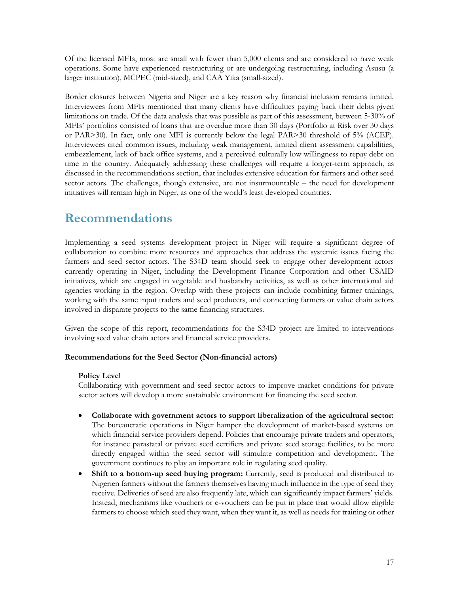Of the licensed MFIs, most are small with fewer than 5,000 clients and are considered to have weak operations. Some have experienced restructuring or are undergoing restructuring, including Asusu (a larger institution), MCPEC (mid-sized), and CAA Yika (small-sized).

Border closures between Nigeria and Niger are a key reason why financial inclusion remains limited. Interviewees from MFIs mentioned that many clients have difficulties paying back their debts given limitations on trade. Of the data analysis that was possible as part of this assessment, between 5-30% of MFIs' portfolios consisted of loans that are overdue more than 30 days (Portfolio at Risk over 30 days or PAR>30). In fact, only one MFI is currently below the legal PAR>30 threshold of 5% (ACEP). Interviewees cited common issues, including weak management, limited client assessment capabilities, embezzlement, lack of back office systems, and a perceived culturally low willingness to repay debt on time in the country. Adequately addressing these challenges will require a longer-term approach, as discussed in the recommendations section, that includes extensive education for farmers and other seed sector actors. The challenges, though extensive, are not insurmountable – the need for development initiatives will remain high in Niger, as one of the world's least developed countries.

### <span id="page-16-0"></span>**Recommendations**

Implementing a seed systems development project in Niger will require a significant degree of collaboration to combine more resources and approaches that address the systemic issues facing the farmers and seed sector actors. The S34D team should seek to engage other development actors currently operating in Niger, including the Development Finance Corporation and other USAID initiatives, which are engaged in vegetable and husbandry activities, as well as other international aid agencies working in the region. Overlap with these projects can include combining farmer trainings, working with the same input traders and seed producers, and connecting farmers or value chain actors involved in disparate projects to the same financing structures.

Given the scope of this report, recommendations for the S34D project are limited to interventions involving seed value chain actors and financial service providers.

### <span id="page-16-1"></span>**Recommendations for the Seed Sector (Non-financial actors)**

### **Policy Level**

Collaborating with government and seed sector actors to improve market conditions for private sector actors will develop a more sustainable environment for financing the seed sector.

- **Collaborate with government actors to support liberalization of the agricultural sector:**  The bureaucratic operations in Niger hamper the development of market-based systems on which financial service providers depend. Policies that encourage private traders and operators, for instance parastatal or private seed certifiers and private seed storage facilities, to be more directly engaged within the seed sector will stimulate competition and development. The government continues to play an important role in regulating seed quality.
- **Shift to a bottom-up seed buying program:** Currently, seed is produced and distributed to Nigerien farmers without the farmers themselves having much influence in the type of seed they receive. Deliveries of seed are also frequently late, which can significantly impact farmers' yields. Instead, mechanisms like vouchers or e-vouchers can be put in place that would allow eligible farmers to choose which seed they want, when they want it, as well as needs for training or other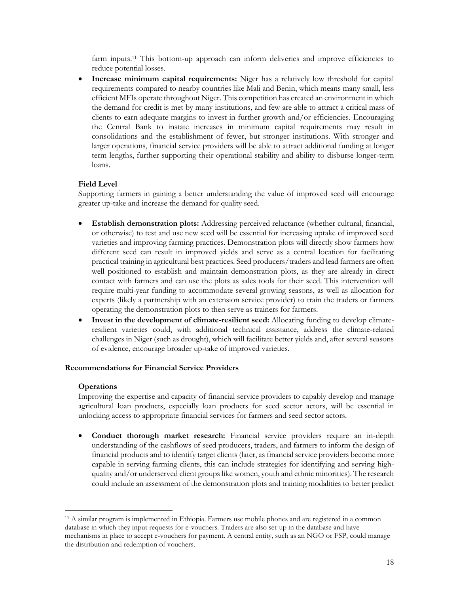farm inputs.<sup>11</sup> This bottom-up approach can inform deliveries and improve efficiencies to reduce potential losses.

• **Increase minimum capital requirements:** Niger has a relatively low threshold for capital requirements compared to nearby countries like Mali and Benin, which means many small, less efficient MFIs operate throughout Niger. This competition has created an environment in which the demand for credit is met by many institutions, and few are able to attract a critical mass of clients to earn adequate margins to invest in further growth and/or efficiencies. Encouraging the Central Bank to instate increases in minimum capital requirements may result in consolidations and the establishment of fewer, but stronger institutions. With stronger and larger operations, financial service providers will be able to attract additional funding at longer term lengths, further supporting their operational stability and ability to disburse longer-term loans.

### **Field Level**

Supporting farmers in gaining a better understanding the value of improved seed will encourage greater up-take and increase the demand for quality seed.

- **Establish demonstration plots:** Addressing perceived reluctance (whether cultural, financial, or otherwise) to test and use new seed will be essential for increasing uptake of improved seed varieties and improving farming practices. Demonstration plots will directly show farmers how different seed can result in improved yields and serve as a central location for facilitating practical training in agricultural best practices. Seed producers/traders and lead farmers are often well positioned to establish and maintain demonstration plots, as they are already in direct contact with farmers and can use the plots as sales tools for their seed. This intervention will require multi-year funding to accommodate several growing seasons, as well as allocation for experts (likely a partnership with an extension service provider) to train the traders or farmers operating the demonstration plots to then serve as trainers for farmers.
- **Invest in the development of climate-resilient seed:** Allocating funding to develop climateresilient varieties could, with additional technical assistance, address the climate-related challenges in Niger (such as drought), which will facilitate better yields and, after several seasons of evidence, encourage broader up-take of improved varieties.

### <span id="page-17-0"></span>**Recommendations for Financial Service Providers**

### **Operations**

Improving the expertise and capacity of financial service providers to capably develop and manage agricultural loan products, especially loan products for seed sector actors, will be essential in unlocking access to appropriate financial services for farmers and seed sector actors.

• **Conduct thorough market research:** Financial service providers require an in-depth understanding of the cashflows of seed producers, traders, and farmers to inform the design of financial products and to identify target clients (later, as financial service providers become more capable in serving farming clients, this can include strategies for identifying and serving highquality and/or underserved client groups like women, youth and ethnic minorities). The research could include an assessment of the demonstration plots and training modalities to better predict

<sup>11</sup> A similar program is implemented in Ethiopia. Farmers use mobile phones and are registered in a common database in which they input requests for e-vouchers. Traders are also set-up in the database and have mechanisms in place to accept e-vouchers for payment. A central entity, such as an NGO or FSP, could manage the distribution and redemption of vouchers.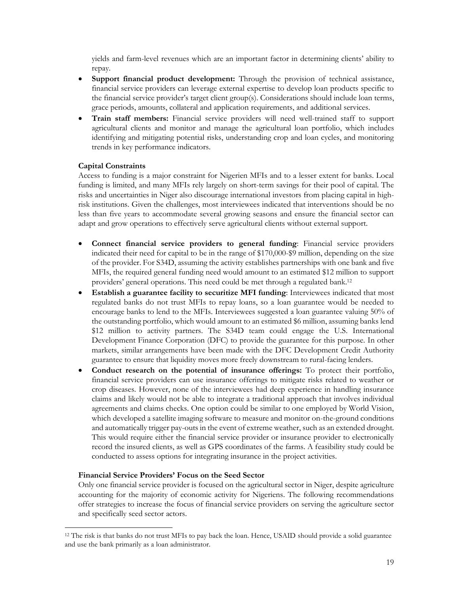yields and farm-level revenues which are an important factor in determining clients' ability to repay.

- **Support financial product development:** Through the provision of technical assistance, financial service providers can leverage external expertise to develop loan products specific to the financial service provider's target client group(s). Considerations should include loan terms, grace periods, amounts, collateral and application requirements, and additional services.
- **Train staff members:** Financial service providers will need well-trained staff to support agricultural clients and monitor and manage the agricultural loan portfolio, which includes identifying and mitigating potential risks, understanding crop and loan cycles, and monitoring trends in key performance indicators.

### **Capital Constraints**

Access to funding is a major constraint for Nigerien MFIs and to a lesser extent for banks. Local funding is limited, and many MFIs rely largely on short-term savings for their pool of capital. The risks and uncertainties in Niger also discourage international investors from placing capital in highrisk institutions. Given the challenges, most interviewees indicated that interventions should be no less than five years to accommodate several growing seasons and ensure the financial sector can adapt and grow operations to effectively serve agricultural clients without external support.

- **Connect financial service providers to general funding**: Financial service providers indicated their need for capital to be in the range of \$170,000-\$9 million, depending on the size of the provider. For S34D, assuming the activity establishes partnerships with one bank and five MFIs, the required general funding need would amount to an estimated \$12 million to support providers' general operations. This need could be met through a regulated bank.<sup>12</sup>
- **Establish a guarantee facility to securitize MFI funding**: Interviewees indicated that most regulated banks do not trust MFIs to repay loans, so a loan guarantee would be needed to encourage banks to lend to the MFIs. Interviewees suggested a loan guarantee valuing 50% of the outstanding portfolio, which would amount to an estimated \$6 million, assuming banks lend \$12 million to activity partners. The S34D team could engage the U.S. International Development Finance Corporation (DFC) to provide the guarantee for this purpose. In other markets, similar arrangements have been made with the DFC Development Credit Authority guarantee to ensure that liquidity moves more freely downstream to rural-facing lenders.
- **Conduct research on the potential of insurance offerings:** To protect their portfolio, financial service providers can use insurance offerings to mitigate risks related to weather or crop diseases. However, none of the interviewees had deep experience in handling insurance claims and likely would not be able to integrate a traditional approach that involves individual agreements and claims checks. One option could be similar to one employed by World Vision, which developed a satellite imaging software to measure and monitor on-the-ground conditions and automatically trigger pay-outs in the event of extreme weather, such as an extended drought. This would require either the financial service provider or insurance provider to electronically record the insured clients, as well as GPS coordinates of the farms. A feasibility study could be conducted to assess options for integrating insurance in the project activities.

### **Financial Service Providers' Focus on the Seed Sector**

Only one financial service provider is focused on the agricultural sector in Niger, despite agriculture accounting for the majority of economic activity for Nigeriens. The following recommendations offer strategies to increase the focus of financial service providers on serving the agriculture sector and specifically seed sector actors.

<sup>12</sup> The risk is that banks do not trust MFIs to pay back the loan. Hence, USAID should provide a solid guarantee and use the bank primarily as a loan administrator.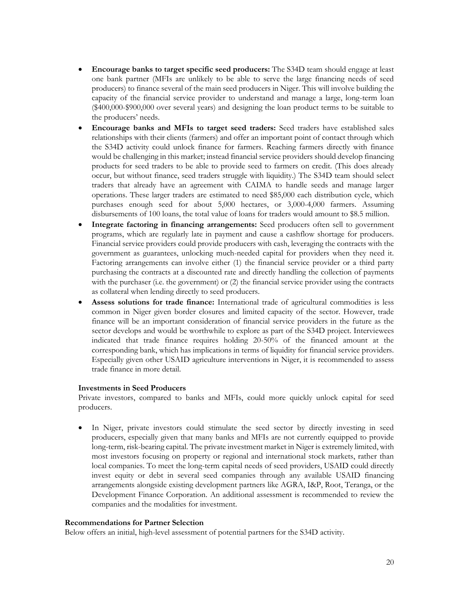- **Encourage banks to target specific seed producers:** The S34D team should engage at least one bank partner (MFIs are unlikely to be able to serve the large financing needs of seed producers) to finance several of the main seed producers in Niger. This will involve building the capacity of the financial service provider to understand and manage a large, long-term loan (\$400,000-\$900,000 over several years) and designing the loan product terms to be suitable to the producers' needs.
- **Encourage banks and MFIs to target seed traders:** Seed traders have established sales relationships with their clients (farmers) and offer an important point of contact through which the S34D activity could unlock finance for farmers. Reaching farmers directly with finance would be challenging in this market; instead financial service providers should develop financing products for seed traders to be able to provide seed to farmers on credit. (This does already occur, but without finance, seed traders struggle with liquidity.) The S34D team should select traders that already have an agreement with CAIMA to handle seeds and manage larger operations. These larger traders are estimated to need \$85,000 each distribution cycle, which purchases enough seed for about 5,000 hectares, or 3,000-4,000 farmers. Assuming disbursements of 100 loans, the total value of loans for traders would amount to \$8.5 million.
- **Integrate factoring in financing arrangements:** Seed producers often sell to government programs, which are regularly late in payment and cause a cashflow shortage for producers. Financial service providers could provide producers with cash, leveraging the contracts with the government as guarantees, unlocking much-needed capital for providers when they need it. Factoring arrangements can involve either (1) the financial service provider or a third party purchasing the contracts at a discounted rate and directly handling the collection of payments with the purchaser (i.e. the government) or (2) the financial service provider using the contracts as collateral when lending directly to seed producers.
- Assess solutions for trade finance: International trade of agricultural commodities is less common in Niger given border closures and limited capacity of the sector. However, trade finance will be an important consideration of financial service providers in the future as the sector develops and would be worthwhile to explore as part of the S34D project. Interviewees indicated that trade finance requires holding 20-50% of the financed amount at the corresponding bank, which has implications in terms of liquidity for financial service providers. Especially given other USAID agriculture interventions in Niger, it is recommended to assess trade finance in more detail.

### **Investments in Seed Producers**

Private investors, compared to banks and MFIs, could more quickly unlock capital for seed producers.

In Niger, private investors could stimulate the seed sector by directly investing in seed producers, especially given that many banks and MFIs are not currently equipped to provide long-term, risk-bearing capital. The private investment market in Niger is extremely limited, with most investors focusing on property or regional and international stock markets, rather than local companies. To meet the long-term capital needs of seed providers, USAID could directly invest equity or debt in several seed companies through any available USAID financing arrangements alongside existing development partners like AGRA, I&P, Root, Teranga, or the Development Finance Corporation. An additional assessment is recommended to review the companies and the modalities for investment.

#### <span id="page-19-0"></span>**Recommendations for Partner Selection**

Below offers an initial, high-level assessment of potential partners for the S34D activity.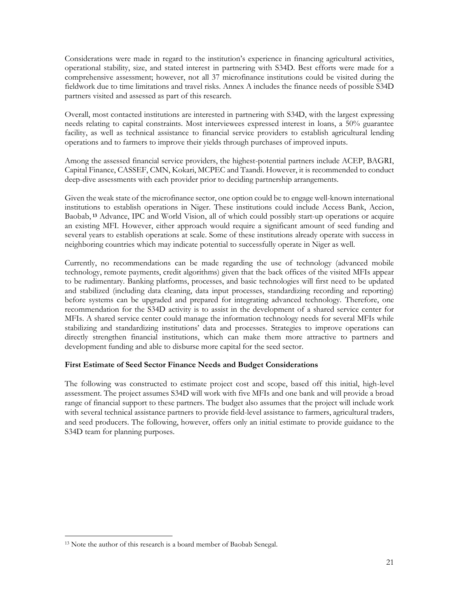Considerations were made in regard to the institution's experience in financing agricultural activities, operational stability, size, and stated interest in partnering with S34D. Best efforts were made for a comprehensive assessment; however, not all 37 microfinance institutions could be visited during the fieldwork due to time limitations and travel risks. Annex A includes the finance needs of possible S34D partners visited and assessed as part of this research.

Overall, most contacted institutions are interested in partnering with S34D, with the largest expressing needs relating to capital constraints. Most interviewees expressed interest in loans, a 50% guarantee facility, as well as technical assistance to financial service providers to establish agricultural lending operations and to farmers to improve their yields through purchases of improved inputs.

Among the assessed financial service providers, the highest-potential partners include ACEP, BAGRI, Capital Finance, CASSEF, CMN, Kokari, MCPEC and Taandi. However, it is recommended to conduct deep-dive assessments with each provider prior to deciding partnership arrangements.

Given the weak state of the microfinance sector, one option could be to engage well-known international institutions to establish operations in Niger. These institutions could include Access Bank, Accion, Baobab, **<sup>13</sup>** Advance, IPC and World Vision, all of which could possibly start-up operations or acquire an existing MFI. However, either approach would require a significant amount of seed funding and several years to establish operations at scale. Some of these institutions already operate with success in neighboring countries which may indicate potential to successfully operate in Niger as well.

Currently, no recommendations can be made regarding the use of technology (advanced mobile technology, remote payments, credit algorithms) given that the back offices of the visited MFIs appear to be rudimentary. Banking platforms, processes, and basic technologies will first need to be updated and stabilized (including data cleaning, data input processes, standardizing recording and reporting) before systems can be upgraded and prepared for integrating advanced technology. Therefore, one recommendation for the S34D activity is to assist in the development of a shared service center for MFIs. A shared service center could manage the information technology needs for several MFIs while stabilizing and standardizing institutions' data and processes. Strategies to improve operations can directly strengthen financial institutions, which can make them more attractive to partners and development funding and able to disburse more capital for the seed sector.

### <span id="page-20-0"></span>**First Estimate of Seed Sector Finance Needs and Budget Considerations**

The following was constructed to estimate project cost and scope, based off this initial, high-level assessment. The project assumes S34D will work with five MFIs and one bank and will provide a broad range of financial support to these partners. The budget also assumes that the project will include work with several technical assistance partners to provide field-level assistance to farmers, agricultural traders, and seed producers. The following, however, offers only an initial estimate to provide guidance to the S34D team for planning purposes.

<span id="page-20-1"></span><sup>13</sup> Note the author of this research is a board member of Baobab Senegal.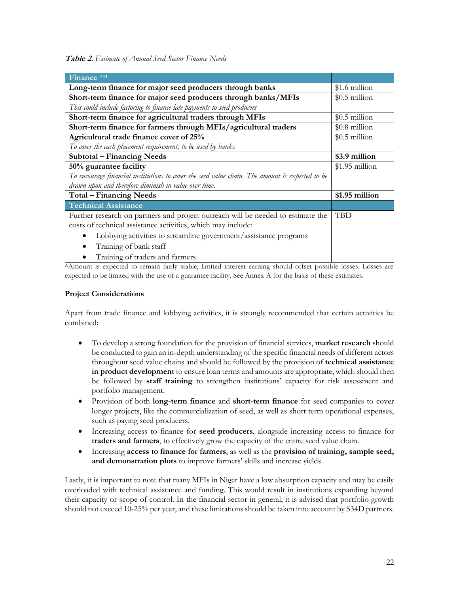**Table 2.** *Estimate of Annual Seed Sector Finance Needs*

| Finance A14                                                                                     |                 |
|-------------------------------------------------------------------------------------------------|-----------------|
| Long-term finance for major seed producers through banks                                        | \$1.6 million   |
| Short-term finance for major seed producers through banks/MFIs                                  | $$0.5$ million  |
| This could include factoring to finance late payments to seed producers                         |                 |
| Short-term finance for agricultural traders through MFIs                                        | $$0.5$ million  |
| Short-term finance for farmers through MFIs/agricultural traders                                | $$0.8$ million  |
| Agricultural trade finance cover of 25%                                                         | $$0.5$ million  |
| To cover the cash placement requirement; to be used by banks                                    |                 |
| <b>Subtotal – Financing Needs</b>                                                               | \$3.9 million   |
| 50% guarantee facility                                                                          | $$1.95$ million |
| To encourage financial institutions to cover the seed value chain. The amount is expected to be |                 |
| drawn upon and therefore diminish in value over time.                                           |                 |
| <b>Total - Financing Needs</b>                                                                  | \$1.95 million  |
| <b>Technical Assistance</b>                                                                     |                 |
| Further research on partners and project outreach will be needed to estimate the                | <b>TBD</b>      |
| costs of technical assistance activities, which may include:                                    |                 |
| Lobbying activities to streamline government/assistance programs                                |                 |
| Training of bank staff                                                                          |                 |
| Training of traders and farmers                                                                 |                 |

<sup>A</sup>Amount is expected to remain fairly stable, limited interest earning should offset possible losses. Losses are expected to be limited with the use of a guarantee facility. See Annex A for the basis of these estimates.

### **Project Considerations**

Apart from trade finance and lobbying activities, it is strongly recommended that certain activities be combined:

- To develop a strong foundation for the provision of financial services, **market research** should be conducted to gain an in-depth understanding of the specific financial needs of different actors throughout seed value chains and should be followed by the provision of **technical assistance in product development** to ensure loan terms and amounts are appropriate, which should then be followed by **staff training** to strengthen institutions' capacity for risk assessment and portfolio management.
- Provision of both **long-term finance** and **short-term finance** for seed companies to cover longer projects, like the commercialization of seed, as well as short term operational expenses, such as paying seed producers.
- Increasing access to finance for **seed producers**, alongside increasing access to finance for **traders and farmers**, to effectively grow the capacity of the entire seed value chain.
- Increasing **access to finance for farmers**, as well as the **provision of training, sample seed, and demonstration plots** to improve farmers' skills and increase yields.

Lastly, it is important to note that many MFIs in Niger have a low absorption capacity and may be easily overloaded with technical assistance and funding. This would result in institutions expanding beyond their capacity or scope of control. In the financial sector in general, it is advised that portfolio growth should not exceed 10-25% per year, and these limitations should be taken into account by S34D partners.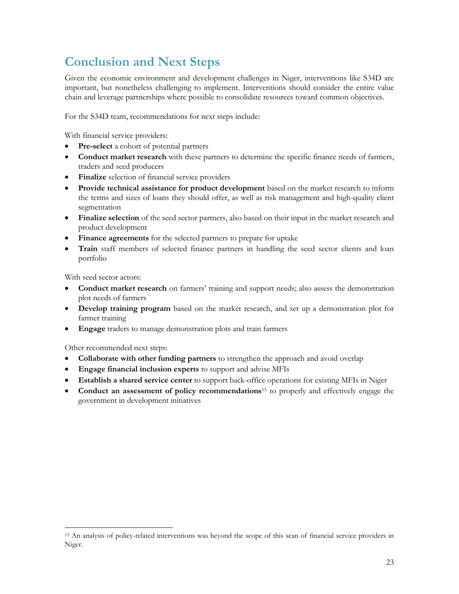## <span id="page-22-0"></span>**Conclusion and Next Steps**

Given the economic environment and development challenges in Niger, interventions like S34D are important, but nonetheless challenging to implement. Interventions should consider the entire value chain and leverage partnerships where possible to consolidate resources toward common objectives.

For the S34D team, recommendations for next steps include:

With financial service providers:

- **Pre-select** a cohort of potential partners
- **Conduct market research** with these partners to determine the specific finance needs of farmers, traders and seed producers
- **Finalize** selection of financial service providers
- **Provide technical assistance for product development** based on the market research to inform the terms and sizes of loans they should offer, as well as risk management and high-quality client segmentation
- **Finalize selection** of the seed sector partners, also based on their input in the market research and product development
- **Finance agreements** for the selected partners to prepare for uptake
- **Train** staff members of selected finance partners in handling the seed sector clients and loan portfolio

With seed sector actors:

- **Conduct market research** on farmers' training and support needs; also assess the demonstration plot needs of farmers
- **Develop training program** based on the market research, and set up a demonstration plot for farmer training
- **Engage** traders to manage demonstration plots and train farmers

Other recommended next steps:

- **Collaborate with other funding partners** to strengthen the approach and avoid overlap
- **Engage financial inclusion experts** to support and advise MFIs
- **Establish a shared service center** to support back-office operations for existing MFIs in Niger
- **Conduct an assessment of policy recommendations**<sup>15</sup> to properly and effectively engage the government in development initiatives

<sup>15</sup> An analysis of policy-related interventions was beyond the scope of this scan of financial service providers in Niger.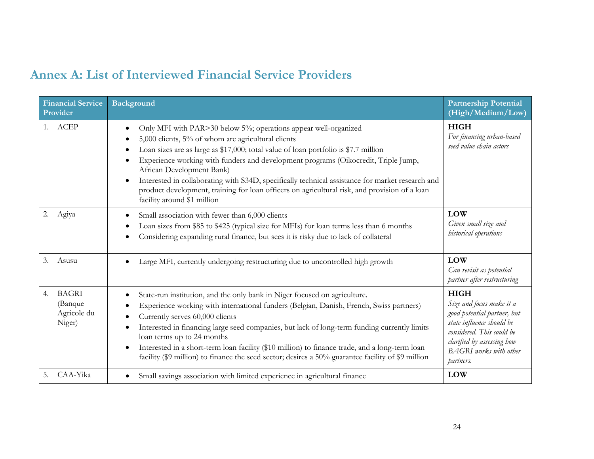### **Annex A: List of Interviewed Financial Service Providers**

<span id="page-23-0"></span>

| <b>Financial Service</b><br>Provider                   | <b>Background</b>                                                                                                                                                                                                                                                                                                                                                                                                                                                                                                                                                                                               | <b>Partnership Potential</b><br>(High/Medium/Low)                                                                                                                                                            |
|--------------------------------------------------------|-----------------------------------------------------------------------------------------------------------------------------------------------------------------------------------------------------------------------------------------------------------------------------------------------------------------------------------------------------------------------------------------------------------------------------------------------------------------------------------------------------------------------------------------------------------------------------------------------------------------|--------------------------------------------------------------------------------------------------------------------------------------------------------------------------------------------------------------|
| ACEP<br>1.                                             | Only MFI with PAR>30 below 5%; operations appear well-organized<br>$\bullet$<br>5,000 clients, 5% of whom are agricultural clients<br>Loan sizes are as large as \$17,000; total value of loan portfolio is \$7.7 million<br>٠<br>Experience working with funders and development programs (Oikocredit, Triple Jump,<br>$\bullet$<br>African Development Bank)<br>Interested in collaborating with S34D, specifically technical assistance for market research and<br>$\bullet$<br>product development, training for loan officers on agricultural risk, and provision of a loan<br>facility around \$1 million | <b>HIGH</b><br>For financing urban-based<br>seed value chain actors                                                                                                                                          |
| 2.<br>Agiya                                            | Small association with fewer than 6,000 clients<br>$\bullet$<br>Loan sizes from \$85 to \$425 (typical size for MFIs) for loan terms less than 6 months<br>$\bullet$<br>Considering expanding rural finance, but sees it is risky due to lack of collateral<br>$\bullet$                                                                                                                                                                                                                                                                                                                                        | <b>LOW</b><br>Given small size and<br>historical operations                                                                                                                                                  |
| 3.<br>Asusu                                            | Large MFI, currently undergoing restructuring due to uncontrolled high growth                                                                                                                                                                                                                                                                                                                                                                                                                                                                                                                                   | <b>LOW</b><br>Can revisit as potential<br>partner after restructuring                                                                                                                                        |
| <b>BAGRI</b><br>4.<br>(Banque<br>Agricole du<br>Niger) | State-run institution, and the only bank in Niger focused on agriculture.<br>$\bullet$<br>Experience working with international funders (Belgian, Danish, French, Swiss partners)<br>$\bullet$<br>Currently serves 60,000 clients<br>$\bullet$<br>Interested in financing large seed companies, but lack of long-term funding currently limits<br>$\bullet$<br>loan terms up to 24 months<br>Interested in a short-term loan facility (\$10 million) to finance trade, and a long-term loan<br>$\bullet$<br>facility (\$9 million) to finance the seed sector; desires a 50% guarantee facility of \$9 million  | <b>HIGH</b><br>Size and focus make it a<br>good potential partner, but<br>state influence should be<br>considered. This could be<br>clarified by assessing how<br><b>BAGRI</b> works with other<br>partners. |
| CAA-Yika<br>5.                                         | Small savings association with limited experience in agricultural finance                                                                                                                                                                                                                                                                                                                                                                                                                                                                                                                                       | <b>LOW</b>                                                                                                                                                                                                   |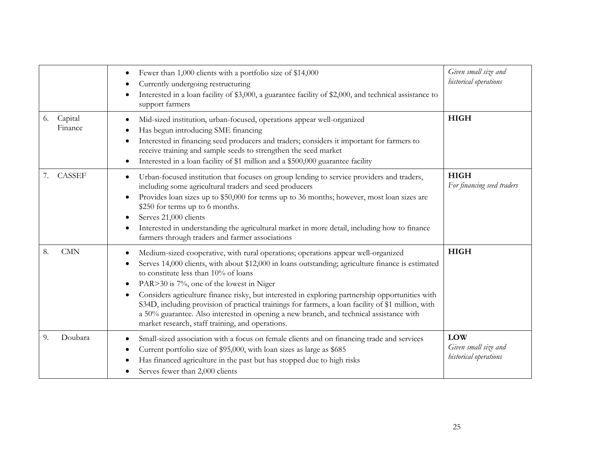|                          | Fewer than 1,000 clients with a portfolio size of \$14,000<br>$\bullet$<br>Currently undergoing restructuring<br>٠<br>Interested in a loan facility of \$3,000, a guarantee facility of \$2,000, and technical assistance to<br>support farmers                                                                                                                                                                                                                                                                                                                                                                                                                                        | Given small size and<br>historical operations                      |
|--------------------------|----------------------------------------------------------------------------------------------------------------------------------------------------------------------------------------------------------------------------------------------------------------------------------------------------------------------------------------------------------------------------------------------------------------------------------------------------------------------------------------------------------------------------------------------------------------------------------------------------------------------------------------------------------------------------------------|--------------------------------------------------------------------|
| Capital<br>6.<br>Finance | Mid-sized institution, urban-focused, operations appear well-organized<br>٠<br>Has begun introducing SME financing<br>Interested in financing seed producers and traders; considers it important for farmers to<br>$\bullet$<br>receive training and sample seeds to strengthen the seed market<br>Interested in a loan facility of \$1 million and a \$500,000 guarantee facility<br>$\bullet$                                                                                                                                                                                                                                                                                        | <b>HIGH</b>                                                        |
| <b>CASSEF</b><br>7.      | Urban-focused institution that focuses on group lending to service providers and traders,<br>$\bullet$<br>including some agricultural traders and seed producers<br>Provides loan sizes up to \$50,000 for terms up to 36 months; however, most loan sizes are<br>$\bullet$<br>\$250 for terms up to 6 months.<br>Serves 21,000 clients<br>$\bullet$<br>Interested in understanding the agricultural market in more detail, including how to finance<br>$\bullet$<br>farmers through traders and farmer associations                                                                                                                                                                   | <b>HIGH</b><br>For financing seed traders                          |
| <b>CMN</b><br>8.         | Medium-sized cooperative, with rural operations; operations appear well-organized<br>$\bullet$<br>Serves 14,000 clients, with about \$12,000 in loans outstanding; agriculture finance is estimated<br>$\bullet$<br>to constitute less than 10% of loans<br>PAR>30 is 7%, one of the lowest in Niger<br>$\bullet$<br>Considers agriculture finance risky, but interested in exploring partnership opportunities with<br>$\bullet$<br>S34D, including provision of practical trainings for farmers, a loan facility of \$1 million, with<br>a 50% guarantee. Also interested in opening a new branch, and technical assistance with<br>market research, staff training, and operations. | <b>HIGH</b>                                                        |
| Doubara<br>9.            | Small-sized association with a focus on female clients and on financing trade and services<br>$\bullet$<br>Current portfolio size of \$95,000, with loan sizes as large as \$685<br>٠<br>Has financed agriculture in the past but has stopped due to high risks<br>Serves fewer than 2,000 clients                                                                                                                                                                                                                                                                                                                                                                                     | <b>LOW</b><br>Given small size and<br><b>historical</b> operations |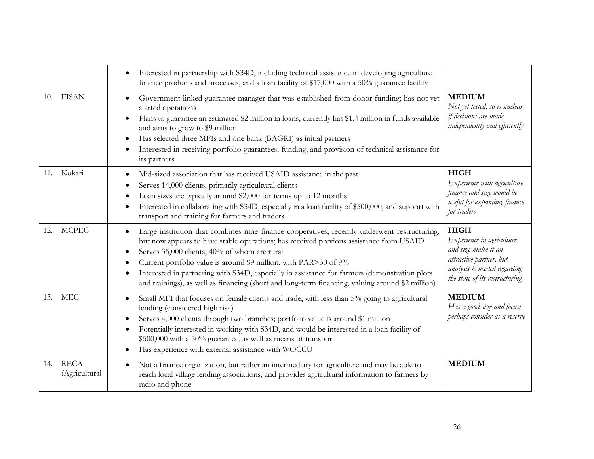|                                     | Interested in partnership with S34D, including technical assistance in developing agriculture<br>finance products and processes, and a loan facility of \$17,000 with a 50% guarantee facility                                                                                                                                                                                                                                                                                                                                                                      |                                                                                                                                                              |
|-------------------------------------|---------------------------------------------------------------------------------------------------------------------------------------------------------------------------------------------------------------------------------------------------------------------------------------------------------------------------------------------------------------------------------------------------------------------------------------------------------------------------------------------------------------------------------------------------------------------|--------------------------------------------------------------------------------------------------------------------------------------------------------------|
| 10. FISAN                           | Government-linked guarantee manager that was established from donor funding; has not yet<br>$\bullet$<br>started operations<br>Plans to guarantee an estimated \$2 million in loans; currently has \$1.4 million in funds available<br>$\bullet$<br>and aims to grow to \$9 million<br>Has selected three MFIs and one bank (BAGRI) as initial partners<br>$\bullet$<br>Interested in receiving portfolio guarantees, funding, and provision of technical assistance for<br>$\bullet$<br>its partners                                                               | <b>MEDIUM</b><br>Not yet tested, so is unclear<br>if decisions are made<br>independently and efficiently                                                     |
| 11. Kokari                          | Mid-sized association that has received USAID assistance in the past<br>$\bullet$<br>Serves 14,000 clients, primarily agricultural clients<br>$\bullet$<br>Loan sizes are typically around \$2,000 for terms up to 12 months<br>$\bullet$<br>Interested in collaborating with S34D, especially in a loan facility of \$500,000, and support with<br>$\bullet$<br>transport and training for farmers and traders                                                                                                                                                     | <b>HIGH</b><br>Experience with agriculture<br>finance and size would be<br>useful for expanding finance<br>for traders                                       |
| <b>MCPEC</b><br>12.                 | Large institution that combines nine finance cooperatives; recently underwent restructuring,<br>$\bullet$<br>but now appears to have stable operations; has received previous assistance from USAID<br>Serves 35,000 clients, 40% of whom are rural<br>$\bullet$<br>Current portfolio value is around \$9 million, with PAR>30 of 9%<br>$\bullet$<br>Interested in partnering with S34D, especially in assistance for farmers (demonstration plots<br>$\bullet$<br>and trainings), as well as financing (short and long-term financing, valuing around \$2 million) | <b>HIGH</b><br>Experience in agriculture<br>and size make it an<br>attractive partner, but<br>analysis is needed regarding<br>the state of its restructuring |
| <b>MEC</b><br>13.                   | Small MFI that focuses on female clients and trade, with less than 5% going to agricultural<br>$\bullet$<br>lending (considered high risk)<br>Serves 4,000 clients through two branches; portfolio value is around \$1 million<br>$\bullet$<br>Potentially interested in working with S34D, and would be interested in a loan facility of<br>$\bullet$<br>\$500,000 with a 50% guarantee, as well as means of transport<br>Has experience with external assistance with WOCCU<br>$\bullet$                                                                          | <b>MEDIUM</b><br>Has a good size and focus;<br>perhaps consider as a reserve                                                                                 |
| <b>RECA</b><br>14.<br>(Agricultural | Not a finance organization, but rather an intermediary for agriculture and may be able to<br>$\bullet$<br>reach local village lending associations, and provides agricultural information to farmers by<br>radio and phone                                                                                                                                                                                                                                                                                                                                          | <b>MEDIUM</b>                                                                                                                                                |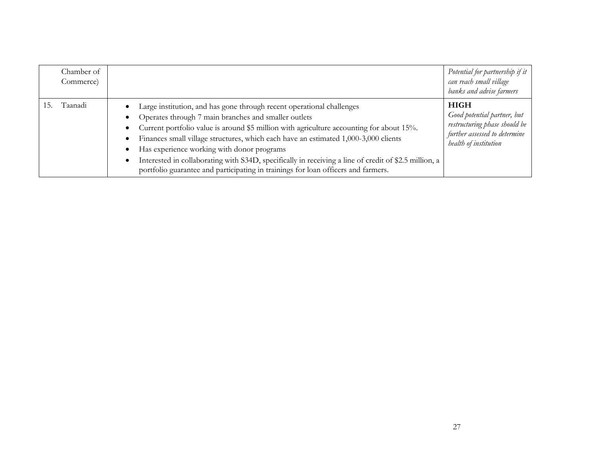| Chamber of<br>Commerce) |                                                                                                                                                                                                                                                                                                                                                                                                                                                                                                                                                                                        | Potential for partnership if it<br>can reach small village<br>banks and advise farmers                                                |
|-------------------------|----------------------------------------------------------------------------------------------------------------------------------------------------------------------------------------------------------------------------------------------------------------------------------------------------------------------------------------------------------------------------------------------------------------------------------------------------------------------------------------------------------------------------------------------------------------------------------------|---------------------------------------------------------------------------------------------------------------------------------------|
| Taanadi<br>15.          | Large institution, and has gone through recent operational challenges<br>Operates through 7 main branches and smaller outlets<br>Current portfolio value is around \$5 million with agriculture accounting for about 15%.<br>Finances small village structures, which each have an estimated 1,000-3,000 clients<br>Has experience working with donor programs<br>$\bullet$<br>Interested in collaborating with S34D, specifically in receiving a line of credit of \$2.5 million, a<br>$\bullet$<br>portfolio guarantee and participating in trainings for loan officers and farmers. | <b>HIGH</b><br>Good potential partner, but<br>restructuring phase should be<br>further assessed to determine<br>health of institution |